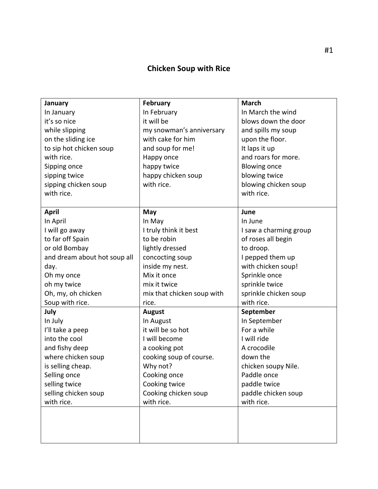## **Chicken Soup with Rice**

|                              | <b>February</b>            | <b>March</b>           |
|------------------------------|----------------------------|------------------------|
| January                      |                            | In March the wind      |
| In January                   | In February                |                        |
| it's so nice                 | it will be                 | blows down the door    |
| while slipping               | my snowman's anniversary   | and spills my soup     |
| on the sliding ice           | with cake for him          | upon the floor.        |
| to sip hot chicken soup      | and soup for me!           | It laps it up          |
| with rice.                   | Happy once                 | and roars for more.    |
| Sipping once                 | happy twice                | <b>Blowing once</b>    |
| sipping twice                | happy chicken soup         | blowing twice          |
| sipping chicken soup         | with rice.                 | blowing chicken soup   |
| with rice.                   |                            | with rice.             |
|                              |                            |                        |
| <b>April</b>                 | May                        | June                   |
| In April                     | In May                     | In June                |
| I will go away               | I truly think it best      | I saw a charming group |
| to far off Spain             | to be robin                | of roses all begin     |
| or old Bombay                | lightly dressed            | to droop.              |
| and dream about hot soup all | concocting soup            | I pepped them up       |
| day.                         | inside my nest.            | with chicken soup!     |
| Oh my once                   | Mix it once                | Sprinkle once          |
| oh my twice                  | mix it twice               | sprinkle twice         |
| Oh, my, oh chicken           | mix that chicken soup with | sprinkle chicken soup  |
| Soup with rice.              | rice.                      | with rice.             |
| July                         | August                     | September              |
| In July                      | In August                  | In September           |
| I'll take a peep             | it will be so hot          | For a while            |
| into the cool                | I will become              | I will ride            |
| and fishy deep               | a cooking pot              | A crocodile            |
| where chicken soup           | cooking soup of course.    | down the               |
| is selling cheap.            | Why not?                   | chicken soupy Nile.    |
| Selling once                 | Cooking once               | Paddle once            |
| selling twice                | Cooking twice              | paddle twice           |
| selling chicken soup         | Cooking chicken soup       | paddle chicken soup    |
| with rice.                   | with rice.                 | with rice.             |
|                              |                            |                        |
|                              |                            |                        |
|                              |                            |                        |
|                              |                            |                        |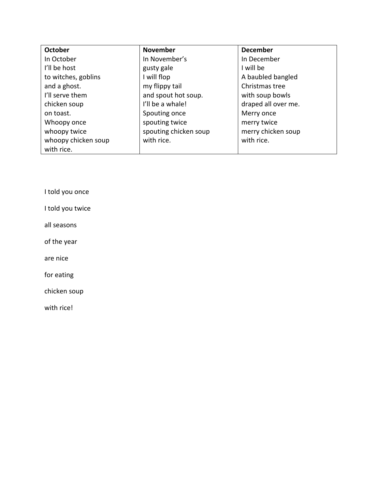| <b>October</b>      | <b>November</b>       | <b>December</b>     |
|---------------------|-----------------------|---------------------|
| In October          | In November's         | In December         |
| I'll be host        | gusty gale            | I will be           |
| to witches, goblins | I will flop           | A baubled bangled   |
| and a ghost.        | my flippy tail        | Christmas tree      |
| I'll serve them     | and spout hot soup.   | with soup bowls     |
| chicken soup        | I'll be a whale!      | draped all over me. |
| on toast.           | Spouting once         | Merry once          |
| Whoopy once         | spouting twice        | merry twice         |
| whoopy twice        | spouting chicken soup | merry chicken soup  |
| whoopy chicken soup | with rice.            | with rice.          |
| with rice.          |                       |                     |

I told you once

I told you twice

all seasons

of the year

are nice

for eating

chicken soup

with rice!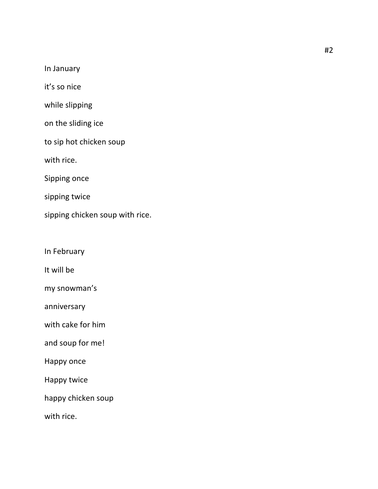In January

it's so nice

while slipping

on the sliding ice

to sip hot chicken soup

with rice.

Sipping once

sipping twice

sipping chicken soup with rice.

In February

It will be

my snowman's

anniversary 

with cake for him

and soup for me!

Happy once

Happy twice

happy chicken soup

with rice.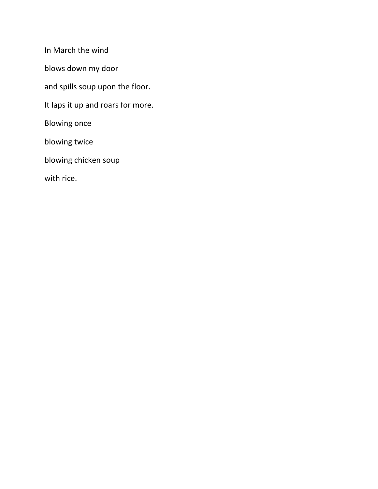In March the wind

blows down my door

and spills soup upon the floor.

It laps it up and roars for more.

**Blowing once** 

blowing twice

blowing chicken soup

with rice.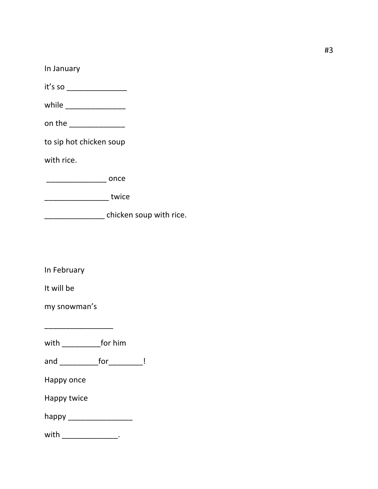| In January              |
|-------------------------|
| it's so                 |
|                         |
| on the ________________ |
| to sip hot chicken soup |
| with rice.              |
| <b>Example 2</b> ONCe   |
| twice                   |
| chicken soup with rice. |

In February

It will be

my snowman's

with \_\_\_\_\_\_\_\_\_\_\_\_for him

\_\_\_\_\_\_\_\_\_\_\_\_\_\_\_\_ 

and \_\_\_\_\_\_\_\_\_\_\_\_for \_\_\_\_\_\_\_\_\_ !

Happy once

Happy twice

happy \_\_\_\_\_\_\_\_\_\_\_\_\_\_\_

| with |  |
|------|--|
|------|--|